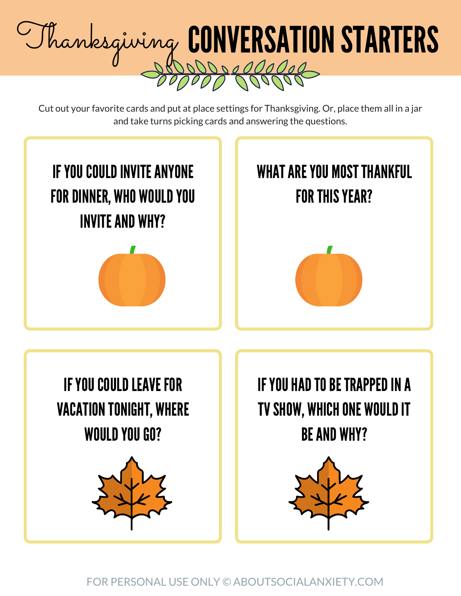

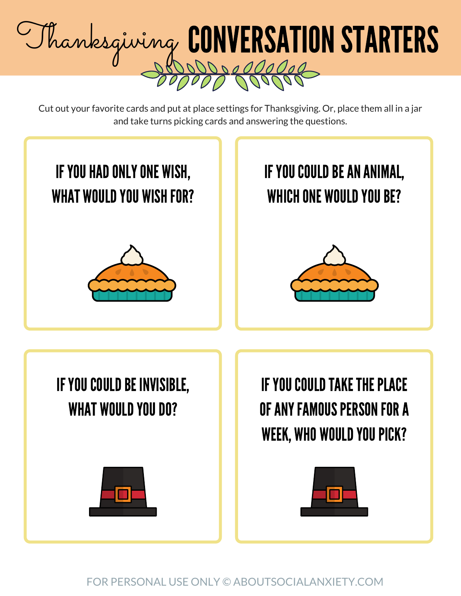

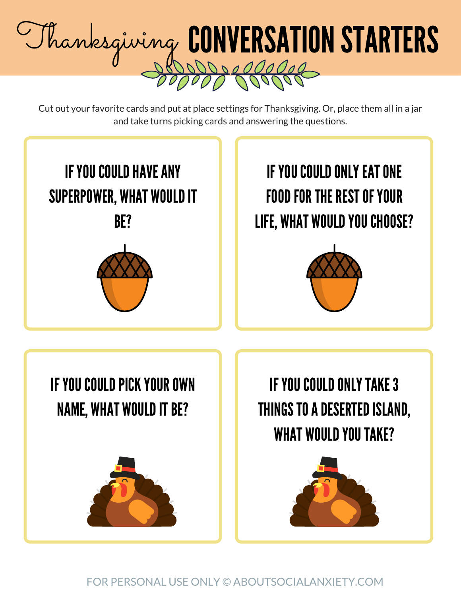